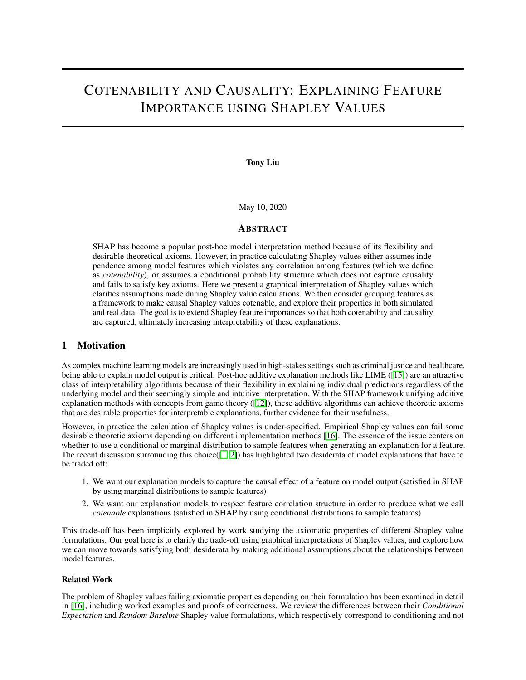# COTENABILITY AND CAUSALITY: EXPLAINING FEATURE IMPORTANCE USING SHAPLEY VALUES

Tony Liu

May 10, 2020

### **ABSTRACT**

SHAP has become a popular post-hoc model interpretation method because of its flexibility and desirable theoretical axioms. However, in practice calculating Shapley values either assumes independence among model features which violates any correlation among features (which we define as *cotenability*), or assumes a conditional probability structure which does not capture causality and fails to satisfy key axioms. Here we present a graphical interpretation of Shapley values which clarifies assumptions made during Shapley value calculations. We then consider grouping features as a framework to make causal Shapley values cotenable, and explore their properties in both simulated and real data. The goal is to extend Shapley feature importances so that both cotenability and causality are captured, ultimately increasing interpretability of these explanations.

# 1 Motivation

As complex machine learning models are increasingly used in high-stakes settings such as criminal justice and healthcare, being able to explain model output is critical. Post-hoc additive explanation methods like LIME ([\[15\]](#page-12-0)) are an attractive class of interpretability algorithms because of their flexibility in explaining individual predictions regardless of the underlying model and their seemingly simple and intuitive interpretation. With the SHAP framework unifying additive explanation methods with concepts from game theory  $(12)$ , these additive algorithms can achieve theoretic axioms that are desirable properties for interpretable explanations, further evidence for their usefulness.

However, in practice the calculation of Shapley values is under-specified. Empirical Shapley values can fail some desirable theoretic axioms depending on different implementation methods [\[16\]](#page-12-2). The essence of the issue centers on whether to use a conditional or marginal distribution to sample features when generating an explanation for a feature. The recent discussion surrounding this choice([\[1,](#page-12-3) [2\]](#page-12-4)) has highlighted two desiderata of model explanations that have to be traded off:

- 1. We want our explanation models to capture the causal effect of a feature on model output (satisfied in SHAP by using marginal distributions to sample features)
- 2. We want our explanation models to respect feature correlation structure in order to produce what we call *cotenable* explanations (satisfied in SHAP by using conditional distributions to sample features)

This trade-off has been implicitly explored by work studying the axiomatic properties of different Shapley value formulations. Our goal here is to clarify the trade-off using graphical interpretations of Shapley values, and explore how we can move towards satisfying both desiderata by making additional assumptions about the relationships between model features.

### Related Work

The problem of Shapley values failing axiomatic properties depending on their formulation has been examined in detail in [\[16\]](#page-12-2), including worked examples and proofs of correctness. We review the differences between their *Conditional Expectation* and *Random Baseline* Shapley value formulations, which respectively correspond to conditioning and not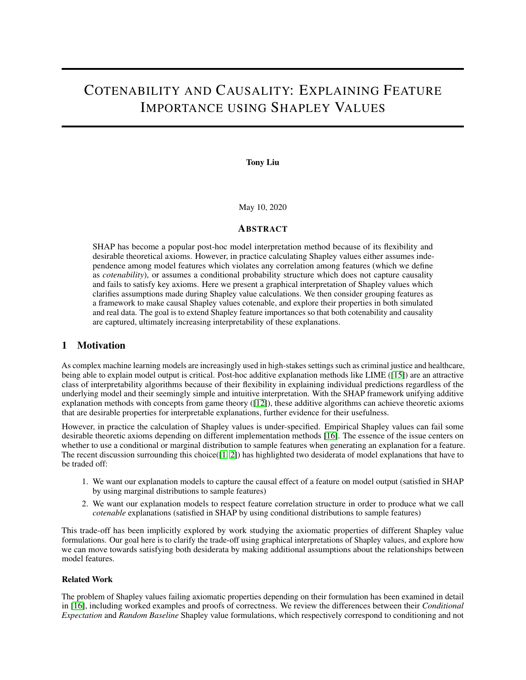conditioning on features, in Section [2.1.](#page-1-0) [\[9\]](#page-12-5) provide a causal justification for the same arguments in distinguishing conditional and marginal distributions of features, framing them as the difference between *observational* vs. *interventional* distributions. [\[20\]](#page-12-6) similarly take a graphical approach in justifying causal interpretations of partial dependence plots. Both [\[16\]](#page-12-2) and [\[9\]](#page-12-5) note that the original formulation of SHAP was ambiguous in its choice of feature distributions, without clear justification of using one over the other. The most recent work by the authors of SHAP have incorporated these critiques of their original formulation into their most recent implementation of the TreeSHAP algorithm [\[11\]](#page-12-7).

In terms of desirable properties of model explanation, [\[13\]](#page-12-8) propose a taxonomy of non-causal and causal interpretability where our desiderata loosely correspond to their categories of causal interpretability for "model-based interpretations" (desiderata 1), and causal interpretability for "verifying causal relationships discovered from data" (desiderata 2). Note however that in our desiderata, respecting feature correlation structure does not necessitate a causal interpretation – features may simply be correlated with one another, or grouped based on preferences of the practitioner (e.g. aggregating individual features into a composite metric such as a risk score). [\[3\]](#page-12-9) modify the KernelSHAP algorithm to better respect feature correlations (desiderata 2), though as [\[9\]](#page-12-5) note this work approximates Conditional Expectation Shapley, which is known to fail some Shapley axioms.

#### Aims

Our work presented here most closely follows the arguments presented in [\[9\]](#page-12-5) and [\[20\]](#page-12-6), building off their graphical interpretation of "interventional" Shapley values and extending them to accommodate contenable feature relationships. To do so, we make an assumption that features come in groups, either provided by underlying causal knowledge or correlations present within the data. We then report on how SHAP values can be interpreted in groups as well as explore their empirical properties through simulations and a case study.

The rest of this work is organized as follows:

Section [2](#page-1-1) gives the graphical foundations of both model-based causality (desiderata 1) and cotenability (desiderata 2) in Shapley values.

Section 3 explores the behavior of Shapley values when features follow a group correlation structure through simulated data.

Section 4 explores the interpretability benefits of grouping Shapley values through a case study using a real-world medical dataset.

Section 5 concludes with discussions on limitations and future work.

### <span id="page-1-1"></span>2 Graphical Framework

#### <span id="page-1-0"></span>2.1 Shapley Value Preliminaries

Here we review notation used for calculating Shapley values for model feature explanation. More details can be found in [\[12,](#page-12-1) [16,](#page-12-2) [11\]](#page-12-7). Given a collection of N features, a model  $f : R^{[N]} \perp R$ , an example x, and a *set function*  $v_{f,x}$ :  $2^{jNj}$  ! R parameterized by f and x, we are interested in calculating the Shapley value i for feature i:

$$
I_{i}(f; x) = \frac{X}{S \text{ Nni}} \frac{|\mathcal{S}|! \quad (jNj \quad j\mathcal{S}j \quad 1)!}{jNj!} \quad V_{f; x}(\mathcal{S} \text{ [ fig]} \quad V_{f; x}(\mathcal{S}) \tag{1}
$$

where the sum is taken over all possible subsets  $S$  of the feature set  $N \nvert n$  i.

Alternatively, we can define the Shapley value for feature  $i$  as:

$$
i(f; x) = \frac{X}{R2(N)} \frac{1}{jNj!} \ \ v_{f; x}(R_i \ [ \text{fig}]) \ \ v_{f; x}(R_i)
$$
 (2)

where  $(N)$  are all possible orderings of the features N, and  $R_i$  is the set of all features that come before feature *i* in ordering R.

We note a few of the most useful Shapley value axioms: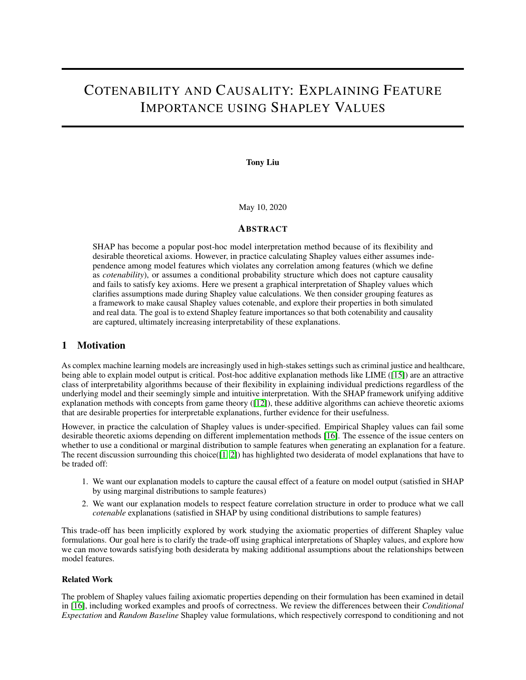*efficiency*:

$$
f(x) = f(x) + \frac{xM}{i} \int_{i}^{x} f(x) dx
$$

In words: the sum of the Shapley values for an example  $\chi$  equal the original model output  $f(\chi)$ . *consistency*:

$$
v_{f';x}(S) \quad v_{f';x}(S \cap i) \quad v_{f;x}(S) \quad v_{f;x}(S \cap i); \; 8f; f^{\theta}; S \quad N =) \quad i(f^{\theta};x) \quad i(f;x)
$$

In words: if a model changes such that some feature's contribution increases or stays the same, then the example's Shapley value for the feature does not decrease.

*missingness*:

$$
V_{f;X}(S [i] = V_{f;X}(S); \; \delta S \quad N =) \quad i(f;X) = 0
$$

In words: features that do not impact the model's output have a Shapley value of 0.

In both formulations of the Shapley values above, we need to define the set function  $v_{f,x}(S)$ , as the axioms may or may not be satisfied depending on the choice of set function. We review two popular definitions of the set function below. Let S be the set of features we are interested in,  $X<sub>S</sub>$  the collection of random variables associated with features in S,  $x_S$  a particular setting of the variables in  $X_S$ , and  $B = N \cap S$ .

#### Conditional Expectation Shapley (CES) Set Function

<span id="page-2-0"></span>The conditional expectation Shapley (CES) set function is defined as:

$$
V_{f,x}(S) = E_{X_B/X_S}[f(X_N)/X_S = x_S]
$$
\n(3)

where the expectation of the model output f is taken over a conditional distribution of  $X_B$  given a particular setting  $X_S$ of  $X_S$  from x.

As proved in [\[16\]](#page-12-2), CES does not satisfy the Shapley axioms of *missingness* and *consistency*, unless additional assumptions about the feature distribution are made.

#### Interventional Shapley (IS) Set Function

<span id="page-2-1"></span>The interventional Shapley (IS) set function (also called Random Baseline Shapley by [\[16\]](#page-12-2)) is defined as:

$$
V_{f;x}(S) = E_{X_B}[f(x_S; X_B)] \tag{4}
$$

where the expectation of the model output f is taken over a marginal distribution of  $X_B$ , setting the variables in S to their corresponding values  $x<sub>S</sub>$ .

As proved in [\[16\]](#page-12-2), IS *does* satisfy the Shapley axioms of *missingness* and *consistency*.

#### Remarks

Note that implicit in both of these definitions of the set function is the knowledge of some probability distribution over the features. In practice these are often approximated by the empirical distribution of the training data.

#### 2.2 Shapley Values as Graphs

We now give a graphical interpretation of the CES and IS set functions, first restating the arguments presented in Section 3 of [\[9\]](#page-12-5) and then building upon them. For our worked example, we will consider a model  $f$  that takes three features as input  $X_1$ ;  $X_2$ ;  $X_3$ , representing the model output random variable as  $Y = f(X_1; X_2; X_3)$ . In addition, we also consider a latent variable Z that is a common parent of all the input features  $X_1$ ;  $X_2$ ;  $X_3$  (Figure 1a). Later on, we will refer to Z as representing the "real world" when considering correlation structure among features. In the following examples, we are interested in the value of the set function for  $fX_1g$ .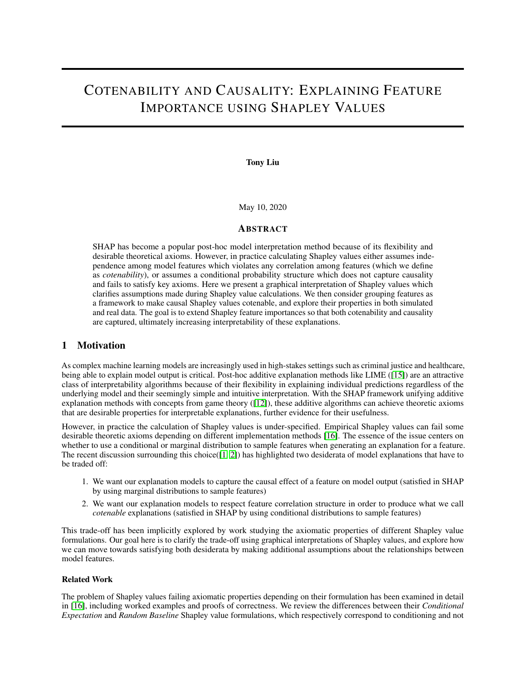

Figure 1: Graphical representation of model input/output and Shapley set functions. The dotted nodes Z() represent latent variables that are not observable. Solid border nodes represent variables that we do observe, namely model input  $K_1$ ;  $X_2$ ;  $X_3$ ) and model output (Y). Shaded in nodes represent particular setting of Figure 1b represents the graphical state of the conditional expectation Shapley set function calculation  $\frac{1}{2}$ , while Figure 1c represents the graphical state of the interventional Shapley set function for the same set.

CES Graphically

Expanding Equati[on](#page-2-0) 3 for $r_{\text{fix}}$  (f X<sub>1</sub>g), we have:

$$
v_{f;x} (S) = E_{X_B jX_S} [f (X_N) jX_S = x_S]
$$
  
\n
$$
v_{f;x} (f X_1 g) = E_{X_2 x_3 jX_1} [f (X_1; X_2; X_3) jX_1 = x_1]
$$
  
\n
$$
= \int_{x_2 x_3} f (x_1; x_2; x_3) p(x_2; x_3 jx_1) dx_2 dx_3
$$

As noted in  $\emptyset$ , the resulting state of our graphical representation is the orbit putional distribution over the features (Figure 1b), as we are changing the distribution  $\angle gX_3$  by setting  $X_1 = x_1$  because of the shared depender  $\triangle$ Using causal language, CES fails to capture the causal effect of setting  $x_1$  on Y because it does not control for theconfounderZ.

IS Graphically

Expanding Equati[on](#page-2-1) 4 for $r_{\text{fix}}$  (f X<sub>1</sub>g), we have:

$$
v_{f;x} (S) = E_{X_B} [f (x_S; X_B)]
$$
  
\n
$$
v_{f;x} (f X_1 g) = E_{X_2 \times X_3} [f (x_1; X_2; X_3)]
$$
  
\n
$$
= \int_{x_2 \times x_3} f (x_1; x_2; x_3) p(x_2; x_3) dx_2 dx_3
$$

The resulting state of our graphical representation is the ventional distribution over the features (Figure 1c), as we are breaking the dependence betw $\breve{\bullet}$ erand $X_2; X_3$  by "forcing"  $X_1 = x_1.$  Again as noted by $\P$ , we can use the backdoor criterion [14] to show th $a_{1x}$  (f X<sub>1</sub>g) under IS is equivalent to the causal quan $\bf{Et}$ [Y]do(X<sub>1</sub> = x<sub>1</sub>)]:

$$
v_{f;x} (f X_1 g) = \n\begin{cases}\n\frac{Z}{2} & \text{if } (x_1; x_2; x_3) p(x_2; x_3) \, dx_2 \, dx_3 \\
\frac{Z^{x_2} Z^{x_3}}{2} & = \n\end{cases}
$$
\n
$$
= \n\begin{cases}\n\frac{Z}{2} & \text{if } (x_1; x_2; x_3) p(x_2; x_3 | x_1) \, dx_2 \, dx_3; \text{ by independence} \\
\frac{Z}{2} & \text{if } x_2 \cdot x_3 \\
\frac{Z}{2} & \text{if } x_3 \cdot x_3 \cdot \end{cases}
$$
\n
$$
= \n\begin{cases}\n\frac{Z}{2} & \text{if } x_3 \cdot x_3 \cdot \end{cases}
$$
\n
$$
= \n\begin{cases}\n\frac{Z}{2} & \text{if } x_3 \cdot x_3 \cdot \end{cases}
$$
\n
$$
= \n\begin{cases}\n\frac{Z}{2} & \text{if } x_3 \cdot \end{cases}
$$
\n
$$
= \n\begin{cases}\n\frac{Z}{2} & \text{if } x_3 \cdot \end{cases}
$$
\n
$$
= \n\begin{cases}\n\frac{Z}{2} & \text{if } x_3 \cdot \end{cases}
$$
\n
$$
= \n\begin{cases}\n\frac{Z}{2} & \text{if } x_3 \cdot \end{cases}
$$
\n
$$
= \n\begin{cases}\n\frac{Z}{2} & \text{if } x_3 \cdot \end{cases}
$$
\n
$$
= \n\begin{cases}\n\frac{Z}{2} & \text{if } x_3 \cdot \end{cases}
$$
\n
$$
= \n\begin{cases}\n\frac{Z}{2} & \text{if } x_3 \cdot \end{cases}
$$
\n
$$
= \n\begin{cases}\n\frac{Z}{2} & \text{if } x_3 \cdot \end{cases}
$$
\n
$$
= \n\begin{cases}\n\frac{Z}{2} & \text{if } x_3 \cdot \end{cases}
$$
\n
$$
= \n\begin{cases}\n\frac{Z}{2} & \text{if } x_3 \cdot \end{cases}
$$
\n<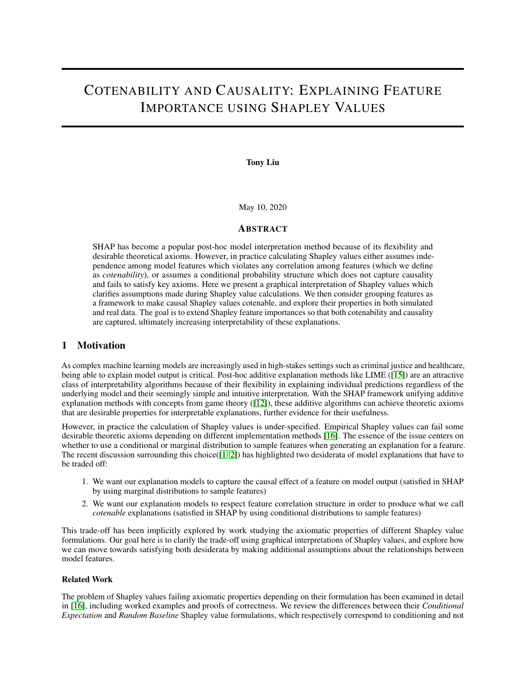### IS is Model-Based Causality

Thus, the IS set function captures the causal effect of setting  $X_1$  on Y, which is a important and useful property for a feature explanation: we want to know how forcing a feature to be a certain value affects the model output, not simply observe the model output when the feature happens to be that value. We call any feature explanation technique that captures the causal effect of model inputs on the model output al-based causa kplanation (desiderata 1 in Section 1).

# 2.3 De ning Cotenability

The other desirable feature explanation property we want to explore is the property of respecting any dependencies among features (desiderata 2 in Section 1). To give an example, suppose we are interpreting a linear regression for probability of mortality that takes as input an individual's height, weight, and body mass index (BMI). The regression coef cients for each feature are interpreted as "the effect on the model output when increasing the feature value by one unit, holding all other features constant." However, because of the complete dependence of BMI on height and weight, the interpretation of the coef cient for BMI loses its meaning because it is not possible to change BMI while holding both height and weight constant.

The idea of respecting dependencies has been explored in the philosophy of conditional logic: a conditional is true if b follows from a, together with a set of statements C such that it is not the case that =) : c, for any  $c$  [5]. The statements i $\hat{c}$  are called otenable premises and this framework can be mapped back onto our regression interpretation example: loosely speaking increasing BMI by one unit is the change in model output, and contains the premises that height is held constant ( weight is held constant  $\lambda$ ), and BMI is equal to weight over height squared (c3). The conditional =) bis not cotenable because if a true, one of  $c_1$ ;  $c_2$ ;  $c_3$  must be violated:  $a = 0$ :  $a$  for at least on $\mathbf{e}_i$ .

We refer to this idea of an explanation respecting feature dependendent as cotenability in terms of the graphical framework we have presented, a cotenable explanation respects the dependencies of the model in psits (the seit parents  $Z$ ) (Figure 2a). Note that both the choice of cotenable premuses well as the graphical structure must be supplied as input, and we can think Z fas the set of cotenable premises we wish to impose in our model explanation. The graphical structure of model inputs can re ect causal knowledge of "the real world," but do not necessarily have to – they can also re ect correlation among features or even dependencies among features that the practitioner may wish to impose.



Figure 2:Graphical representation of cotenability concepts.The thick edges in Figure 2a indicate the dependencies that must be preserved in order for an explanation to be cotenable. Figure 2b represents a feature explanation that is both cotenable and causal. Figure 2c shows the assumption of feature independence needed for IS set functions to be contenable. Note that we assume that the dependencies between the features provident by a longer dashed).

# 2.4 Cotenability and Causality

With the graphical de nition of cotenability in hand, we see that CES set functions are cotenable while IS set functions are not, as IS removes any dependencies of the variables through the causal do-operator. On the other hand, IS by de nition captures model-based causality while CES does not: see Sectioß]3and[Example 3.3 of16]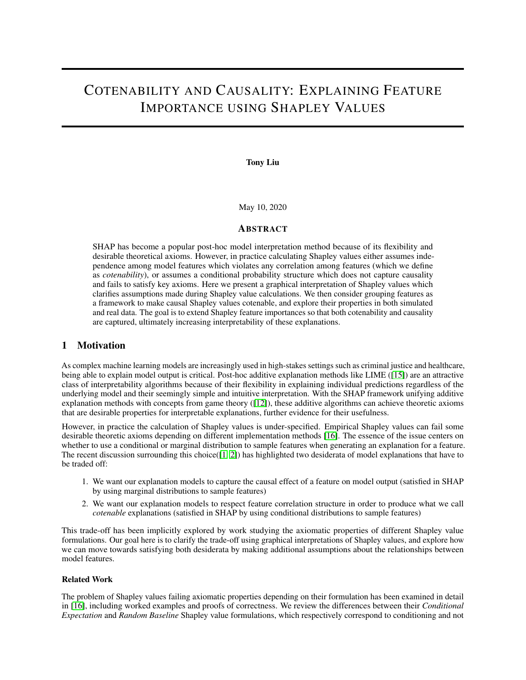for examples of how CES fails to capture the causal effect of features on the model output due to correlation among features.

An ideal explanation would have both feature cotenability and model-based causality, where an explanation could capture the causal effect of intervening  $\Delta nE[Yjdo(Z = z)]$  (Figure 2b). As noted above, some knowledge of the relationship between the parent features and the model inputs must be provided in order to perform this cotenable intervention.

In practice, an assumption of feature independence is made in order to facilitate interpretation of Shapley values, as noted in Figure 2 and subsequent discussion deteroduced in our notation in Figure 2c): "it is necessary to emphasize that we are not talking about the causal relation between any features in the real world outside the computer, but only about causality of this technical input/output system". It is natural to next explore a relaxation of this assumption, namely that features have dependencies which would bring us closer to feature cotenability while still maintaining a causal interpretation.

# Grouping Features

For the rest of this work, we will use the IS set function and make an assumption that features **cronuminies** Figure 3 in our simulation experiments for an example). These groups may have a causal interpretation, or they may simply reect collections of features the practitioner wishes to consider together. Grouping features may be useful beyond respecting cotenability, as they can increase the interpretability of the feature explanations provided. In practice, features as input into machine learning models often already come in groups, such as the aggregation of individual image pixels into so-called "super pixels" or the aggregation of cardiovascular risk indicators into a single risk score.

We will rst explore the robustness of Shapley values under group correlation structure via simulation, followed by a case study using the NHANES I mortality dataset that illustrates the subjective interpretability bene ts of grouping features.

# 3 Grouped SHAP Simulations

We want to understand the behavior of Shapley values in the presence of grouped feature correlation structure. To this end, we utilize the experimental setup presented  $\vec{\eta}$ , where they investigated the stability of feature importance scores across groups of features by simulating the structure of gene microarray data.

# 3.1 Experimental Setup

# Data generation process

For a given sample size, we generate three independent lengthrototype vectorsU; V; W corresponding to groups of featuresG<sub>1</sub>; G<sub>2</sub>; R respectively, from a mixture of two Gaussians with equal probabilities: N (0; 0:1); f<sub>1</sub> N (1; 0:1). Given a noise levet and a group size  $G_1$ , we then generate the features for group by randomly selectingp fraction of the components  $\pmb{\omega}$  and adding Gaussian noi $\pmb{\omega}$ (0; 0:5), repeating for feature $\pmb{\varepsilon}_1;...;$  X $_{jG_1 j}.$ The same noising process is used to generate features corresponding to V. Thus, features within each group are correlated with each other (controlled by while they are uncorrelated with features from other groups.

The outcome variable is a linear rule:

$$
y = 1[5U + 4V \quad (5U + 4V) + > 0]
$$
 (5)

Where  $N(0; 0:1)$  and  $(5U + 4V)$  is the mean of  $5U + 4V$ ). Note that W does not carry any signal, and that is more important for predicting the outcome than Figure 3). Again replicating  $|7|$  we let n = 100,  $|R| = 50$ ,  $jG_1j + jG_2j = 200$  and vary both  $G_1j = f_1; 10; 100; 190; 1990$  and  $p = f_10; 0; 0; 1; 0; 2; 0; 3; 0; 4; 0; 5; 0; 6; 0; 7q$ . As jG<sub>1</sub>j + jG<sub>2</sub>j is xed, we are effectively varying the ratio of the number of features in gr**@**p**a**ndG<sub>2</sub>. With this setup we will be able to measure how stable feature importances are across group sizes and noise levels.

# Classi er and SHAP grouping method

We consider sums of Shapley values as a rst-pass aggregation method for grouped features which we will de ne as

(G) for a group of feature G. Due to the ef ciency axiom, we hypothesize that sums of Shapley values should be able to capture group-level feature importance, provided that the correct groupings of variables are chosen. In this simulation, we know exactly which features are grouped with each other, giving us "perfect" groupings. We use decision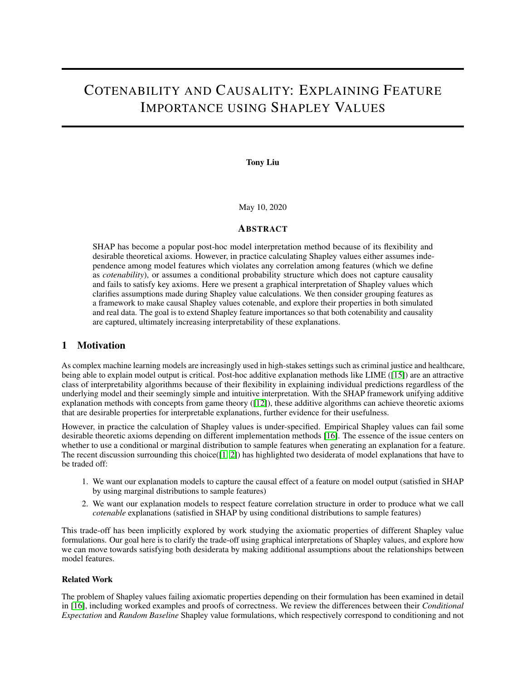

Figure 3: Graphical representation of our group correlation simulation. FeaturesU<sub>i</sub>; V<sub>j</sub>; W<sub>k</sub> are generated from their corresponding prototype vectold. is not correlated with the outcome. Note thath this gure represents the true output function, as opposed to a learned machine learning model of the  $\delta$ utput

tree classi ers and the IS set function TreeSHAP implementation for calculating Shapley **valj**ues in a 50/50 testing/training split and calculate Shapley values on the test data.

# 3.2 Results

Grouped Shapley values preserve relative feature importance

First, we see that in the absence of noise  $0$ , the Shapley value sums recover the Shapley values for the individual prototype vectors (Figure 4a and 4b, upper left), regardless of the size of G<sub>10</sub> upprototype vectors (Figure 4a and 4b, upper left), regardless of the size of G<sub>10</sub> upper after applying up top = 0:7 noise, we see that  $(G_1) > (G_2)$  across all  $G_1$ . Unlike the feature importance measures considered in [17], sums of Shapley values preserve the relative feature importance of the two  $\mathbf{\Omega}_{\text{Q}}$  without having to cluster features before model training. This is key for interpretation as we want the more important feature groups to have higher Shapley value sums than less important feature groups, regardless of the feature group sizes.

Grouped Shapley values distort in the presence of noise

However, though relative ordering of the feature groups is preserved, the absolute sums of Shapley values change for certain group sizes as a function of the noise level  $\text{Mheni}[G_1] = [G_2] = 100$  (grey lines in Figure 4a), the sums of the Shapley values correspond to the true Shapley values for each group, regardless of the noise level (Figure 4b). As  $jG_1j$  decreases relative  $jG_2j$  however, we see the Shapley values Gordecrease as more noise is applied. Possible explanations for this result is increased variance of the group feature importance as the number of features within a group decreases and the decreasing gap between the importance of G1 and G2 as the noise level increases (Figure A.1). Additionally, we see that the total sums of the Shapley values across all three groups is the same (perhaps due to the ef ciency properties of Shapley values), resulting in the Shapley value su $a_2$  **of**creasing beyond the Shapley value for its prototype vector as the Shapley values Gardecrease. In these situations, it appears that sums of Shapley values "over-weigh" less important features in that are in larger groups as noise is applied, which seemingly violates the consistency axiom. Within the context of our simulation, Shapley value sums distort and behave somewhat surprisingly in the presence of noise, with further investigation needed into exactly why the Shapley value sums deviate from the prototype Shapley values.

# 4 Grouped SHAP Case Study: NHANES I

We also want to explore how grouping SHAP values can aid in the interpretation of feature importance. To do so, we examine the relationship between mortality and medical data from the National Health and Nutritional Examination Survey (NHANES I) dataset. building models to predict survival time and again using sums of Shapley values for model explanation.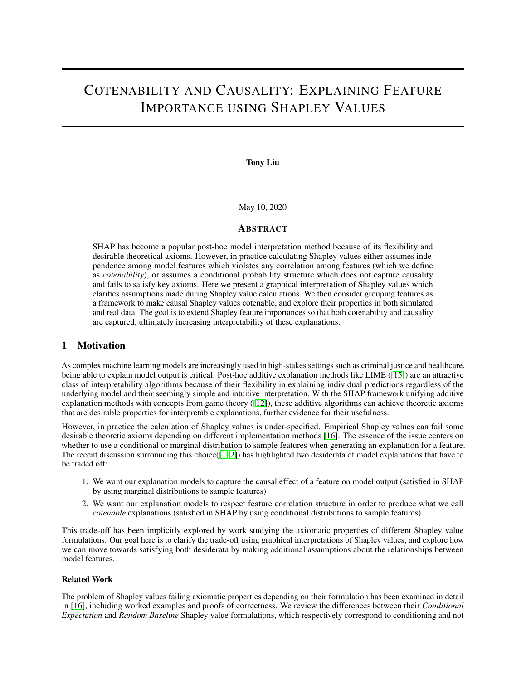(a)

(b)

Figure 4: Simulated Shapley sum results for varying feature group sizes and noise levela) depicts the mean absolute value of sums of Shapley values within each feature group as both a function and the noise level. b) depicts the Shapley values for the prototype vectorsS $_2$ ; R. Error bars displayed are bootstrapped 95% con dence intervals over 100 runs.

### 4.1 Experimental Setup

### Data and feature correlation structure

There are 9,932 individuals in the NHANES I dataset with 27 predictors for mortality, including socioeconomic status, demographics, and nutritional lab readings. To understand the relationship between features, we rst compute Pearson correlations between all of the predictors, and then perform a hierarchical clustering on the resulting correlations (Figure A.2). In practice, physicians often combine lab results or vital signs into a single composite measure for ease of interpretability and clinical threshold assessment, such as risk scores for dialtot and cardiovascular diseased. We emulate this by providing qualitative groupings of the features that correspond to concepts that in uence mortality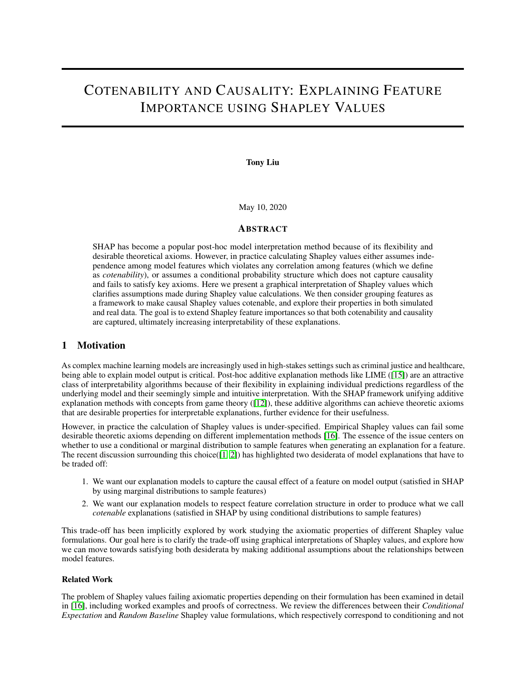(Figure 5). Concepts such as "malnutrition" and "iron de ciency" are arguably more interpretable to a wider audience than the individual serum lab readings. Though features related to blood pressure ("hypertension") are nested within the "cardiovascular risk" block, we break them out as a separate group as they are a real-world illustration of feature cotenability: pulse pressure is the difference between systolic and diastolic blood pressure. We then use these groupings to inform our Shapley value sum aggregation.

Figure 5:Hierarchical clustering of NHANES I features with qualitative groupings. Cells in the clustermap are colored based on their Pearson correlation. Group labels are from a qualitative assessment of the feature group's effect on mortality by a medical student.

### Model construction and feature generation

In addition to the interpretability bene ts of grouping features, we would like to establish some notion of feature importance stability when summing Shapley values. We would like to show that summed Shapley values produce the same relative (and ideally absolute) feature importances when compared to Shapley values of apriori grouped features. To explore grouped feature importance stability, we build two random forest models for predicting survival time: one which uses the individual features, and another which uses apriori aggregated features, standardized and unit weighted within our chosen groups. We do not include gender and age in our feature groupings because of their presumed large effect on mortality so as to not distort the importance of groups. Our nal feature groupings are "cardiovascular risk" sans blood pressure features, "blood pressure," "iron," "SES," and "nutrition," corresponding to the groups in Figure 5.

Missing features are mean imputed, with an additional indicator column for missingness included in the feature matrix. The default parameter settings in scikit-learn are used for training the random forest models, and a 80/20 train/test split is used. All model training details can be found in our code repositority ub.com/tliu526/group-shap

Shapley values are calculated using TreeSHAP with the training data used for the interventional feature sampling. We report results on Shapley values for test data over ten sub-samples of size 500 to generate error bars.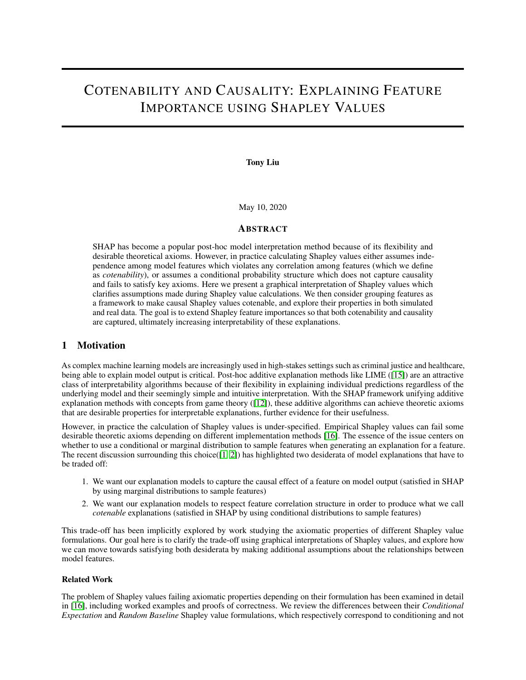(a) Individual Shapley Density Plot (b) Individual Shapley Feature Importance

(c) Sums of Individual Shapley Density Plot (d) Sums of Individual Shapley Feature Importance

Figure 6: Individual and summed Shapley values for NHANES features Figures 6a and 6c on the left are representative Shapley value density plots for one of the test set subsamples. Figures 6b and 6d on the right show the average impact on model output magnitude, with error bars indicating bootstrapped 95% con dence intervals over ten test set subsamples.

### 4.2 Results

Sums of Shapley values are qualitatively more interpretable

We see some clear interpretability bene ts to grouping features through summed Shapley values (Figure 6). First, when compared to the individual Shapley values, there are less features to consider which reduces cognitive load. Additionally, the group labels can transport more information to a wider audience. For example, "cardiovascular risk," which consists of BMI, serum cholesterol, and race, can be a meaningful label to individuals without medical expertise, and even medical professionals bene t from aggregations of multiple features into a single assessment or risk score [ Note that since we simply sum Shapley values, the individual Shapley feature importances are still available for model explanation if needed.

The "blood pressure" feature group is a notable instance of how Shapley value sums can aid interpretation. When treated as individual features, we see that systolic blood pressure, diastolic blood pressure, and pulse pressure all are less importance than the individual poverty index feature (Figure 6b). However, systolic and diastolic blood pressure are highly correlated as well as causally related to one another, and pulse pressure is completely dependent on the other two blood pressure readings as it is the difference between them. It is therefore more natural to consider them together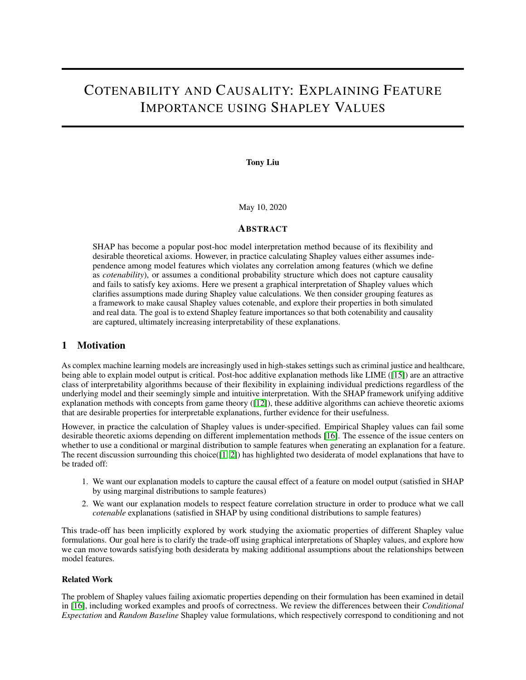as a single feature. The aggregated "blood pressure" feature group then appears as the third most important feature in the model for predicting survival time behind age and gender (Figure 6d), which makes intuitive sense as hypertension is a contributing factor to some of the leading causes of death in the United States [6]. Thus, summing Shapley values according to pre-defined groups of variables that carry either semantic meaning, such as "CV risk," or respect dependencies present within the data and the real world, such as "blood pressure," increases overall interpretability of our model explanations.

#### Sums of Shapley values are comparable to Shapley values of apriori grouped features

We also find that sums of individual Shapley values ("sum-SHAP") and Shapley values of apriori grouped features ("apriori-SHAP") produce similar feature importances (Figure A.3). The two models trained have effectively identical test set performance (0.8083 vs 0.8084 risk prediction C-statistic for individual and grouped features) and produce identical rankings for the top four most important features: age, gender, blood pressure, and SES. Though the ordering of the subsequent features do not exactly align between sum-SHAP and apriori-SHAP, the feature importances are similar in magnitude with the exception of nutrition, and produce qualitatively similar density plot distributions on the same test subsample. For example, in both sum-SHAP and apriori-SHAP we see that lower levels of CV risk generally corresponds to lower model output (increased survival time), with two high CV risk individuals breaking the trend (Figures A.3a, A.3c). Despite not having "perfect" (independent) groupings like our simulation experiment, we see that sum-SHAP and apriori-SHAP give reasonably comparable results, providing some evidence for the feature importance stability of summed Shapley values.

### 5 Discussion

Here we have examined the trade-off between capturing causal effects of features on model output and respecting cotenability of the features for model explanation and feature importance. We formalized this trade-off in Shapley values through a graphical interpretation of the Conditional Expectation Shapley (CES) and Interventional Shapley (IS) set functions, showing that CES respects cotenability but not causality while IS respects causality but not cotenability. We then explored how we could move towards satisfying both cotenability and causality by using IS under the assumption that features come in pre-defined groups. We examined the behavior of grouped Shapley in the form of summed IS values through simulations and real medical data. Though further work is needed to determine the precise mathematical properties of summed Shapley values in the context of the original Shapley axioms, our experiments have demonstrated the benefits of grouping Shapley values: under reasonable conditions and an assumed grouped structure, sums of Shapley values preserve relative feature importance while also increasing interpretability.

#### 5.1 Limitations

There are a number of limitations in both our graphical interpretation and experimental design we wish to highlight.

First, as we define cotenability in the context of our graphical models as the parents  $Z$  to the model input features  $X$ , there is flexibility in how the directed edges from Z to X may be interpreted due to graphical models being inherently under-specified. Though we note that this flexibility can be beneficial depending on the intent of the practitioner  $(Z$ can reflect causal knowledge, or just the correlation structure within the data), there is potential for the connections between  $Z$  and  $X$  to be misinterpreted as reflecting causal "ground truth" much like how correlational studies may be misleadingly couched in causal language. Any practitioner using this framework must be explicit in the assumptions underlying the definition of  $Z$  and what groupings among model features represent. Additionally, we acknowledge that assuming features come in groups, effectively a block correlation structure, is a simplifying assumption that may not hold in practice. In fact, we see in the NHANES I dataset that there is likely a hierarchical relationship among the features within our "cardiovascular risk" block (Figure 5).

By using the framework provided in [17] for our simulated data we are able to compare our results to theirs, demonstrating the benefits of Shapley value sums over the models and feature importance measures they consider. However, several aspects of the simulation could have been designed differently to better examine properties specific to Shapley values. The most prominent aspect that can be improved is the fact that the decision rule is linear in the prototype vectors. Due to the efficiency axiom, the Shapley value of a feature  $X_i = X_i$  in linear models decomposes into a function of  $x_i$  and the univariate expectation  $E[X_i]$  (Section B.1). This may make it difficult to determine precise properties of grouped Shapley values, as under a linear model the joint expectations  $E[X_i; X_j]$  factor into  $E[X_i]E[X_j]$ even when  $X_i$  and  $X_j$  are members of the same feature group. We aim to improve upon these simulations in future work.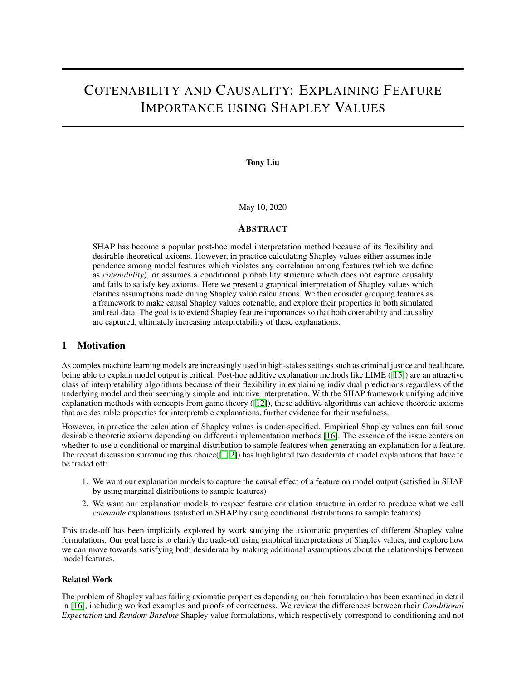### 5.2 Future Work

#### Group SHAP set function modification

Though the key assumption we make in order to satisfy contenability is that features come in pre-defined groups, we only take a simple first step exploring this in practice by summing Shapley values. A natural extension would be to modify the Shapley value calculation to only use coalitions that respect the pre-defined groups. Let C be a partition of the set of features N and  $c \, 2 \, C$  be a set of cotenable features. We can then define a modified Shapley value (borrowing notation from Equation 1):

$$
C_{c}(f; x) = \frac{X}{S_{Cnc}} \frac{|\mathcal{S}|}{|\mathcal{N}|!} \frac{(|N|)}{|\mathcal{N}|!} \frac{|\mathcal{S}|}{|\mathcal{S}|!} \frac{1}{\mathcal{N}} \frac{1}{|\mathcal{S}|!} \frac{1}{V_{f; x}(S|\mathcal{C})} \frac{V_{f; x}(S)}{V_{f; x}(S)} \tag{6}
$$

Where S is all possible subsets of the *sets* in  $C \nvert c$ . This formulation loses the key benefit of preserving individual Shapley values that is present when simply using sums as a grouping method, but could be worth exploring as a method for calculating grouped Shapley values. Another alternative formulation of the Shapley value calculation would be use the definition of Shapley values from Equation 1 but only consider subsets S that can be decomposed into a union of the contenable feature sets in C.

#### Consideration of alternative Shapley baselines

As discussed in [\[16\]](#page-12-2), *Baseline Shapley* is another set function that satisfies all Shapley axioms, and only requires a definition of a baseline function as opposed to a full data distribution of the model features. The authors suggest that this formulation could be useful when particular features "immutable" as part of a model explanation. For example, when examining a model explanation for why someone was rejected for a loan, race should be part of the baseline function as it is not useful for a explanation to consider implausible interventions, as one cannot realistically change their race. This idea could be incorporated into our framework of contenability by forcing every group of variables to include any immutable features, such as age and race in our NHANES I case study. As noted above in Limitations, careful interpretation of the feature groups is needed especially since the sets of features are no longer disjoint, but this modification is also worth considering to further improve interpretability in certain situations.

#### Examining model stability in the context of feature explanation

Questions have been raised about the "stability" of model explanations provided by methods such as LIME and SHAP [\[4\]](#page-12-10). As an aside, we observed throughout our experiments that the stability of Shapley values depended on the "stability" of the underlying model – random forests surprisingly produced feature importances that varied widely as a function of the group sizes and initialization for our simulated classification task in Section 3. Another interesting line of research would be to formalize the notion of feature explanation stability in the context of model stability, including robust definitions of what it means for an explanation to be "stable."

#### 5.3 Conclusion

Here we have explored what we believe to be a fundamental trade-off in model explanation and feature importance desiderata: causality vs. cotenability. As noted by the authors of SHAP, being "true to the model" (causality) vs. "true to the data" (cotenability) cannot be satisfied in general when there is arbitrary correlation among features [\[2\]](#page-12-4). Thus, additional domain expertise is often required for proper model explanation [\[20\]](#page-12-6), much like traditional causal inference problems; see [\[8\]](#page-12-11) for a recent work that highlights the benefits of domain expertise. Many interpretability methods to date only push towards one of our desiderata and often do not consider the role of domain expertise, so more progress is needed to bridge the gap. We hope that our work here on grouped Shapley values provides clarification to the causality vs. cotenability trade-off as well as a step towards a potential solution, so that future explainable AI methods can come closer to "cotenable causality."

### Acknowledgements

Thanks to Lyle Ungar for helpful discussions around Shapley values and grouped feature interpretation, as well as for a great semester leading the XAI course. Thanks to everyone in the course for fun and stimulating discussions throughout the semester. Thanks to Christina Chen for providing interpretation of feature groups for the NHANES I dataset.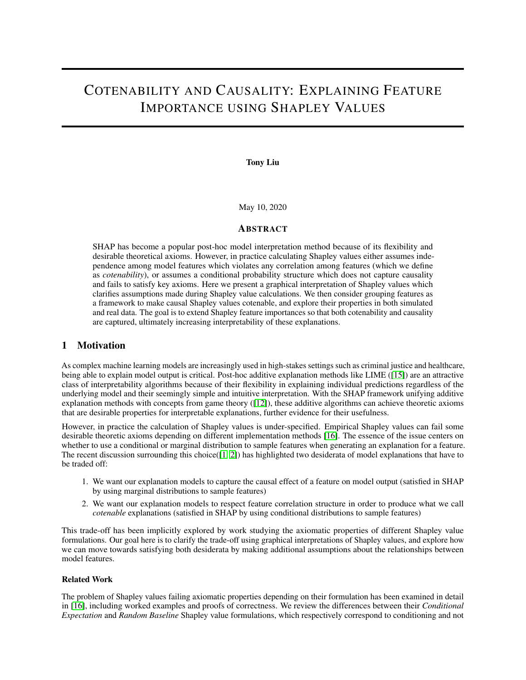# References

- <span id="page-12-3"></span>[1] Github issue: Possible problem with using conditional vs marginal expectation for dropped features in tree shap? <https://github.com/slundberg/shap/issues/882>.
- <span id="page-12-4"></span>[2] Github issue: Treeshap is not exact. [https://github.com/christophM/interpretable-ml-book/](https://github.com/christophM/interpretable-ml-book/issues/142) [issues/142](https://github.com/christophM/interpretable-ml-book/issues/142).
- <span id="page-12-9"></span>[3] Kjersti Aas, Martin Jullum, and Anders Løland. Explaining individual predictions when features are dependent: More accurate approximations to shapley values. *arXiv preprint arXiv:1903.10464*, 2019.
- <span id="page-12-10"></span>[4] David Alvarez-Melis and Tommi S Jaakkola. On the robustness of interpretability methods. *arXiv preprint arXiv:1806.08049*, 2018.
- [5] Horacio Arlo-Costa. The logic of conditionals. [https://plato.stanford.edu/entries/](https://plato.stanford.edu/entries/logic-conditionals/) [logic-conditionals/](https://plato.stanford.edu/entries/logic-conditionals/), 2007.
- [6] CDC. Facts about hypertension. <https://www.cdc.gov/bloodpressure/facts.htm>.
- [7] CDC. Nhanes i. national health and nutrition examination survey. [https://wwwn.cdc.gov/nchs/nhanes/](https://wwwn.cdc.gov/nchs/nhanes/nhanes1/Default.aspx) [nhanes1/Default.aspx](https://wwwn.cdc.gov/nchs/nhanes/nhanes1/Default.aspx), 1974.
- <span id="page-12-11"></span>[8] Efstathios D Gennatas, Jerome H Friedman, Lyle H Ungar, Romain Pirracchio, Eric Eaton, Lara G Reichmann, Yannet Interian, José Marcio Luna, Charles B Simone, Andrew Auerbach, et al. Expert-augmented machine learning. *Proceedings of the National Academy of Sciences*, 117(9):4571–4577, 2020.
- <span id="page-12-5"></span>[9] Dominik Janzing, Lenon Minorics, and Patrick Blöbaum. Feature relevance quantification in explainable ai: A causality problem. *arXiv preprint arXiv:1910.13413*, 2019.
- [10] Jaana Lindström and Jaakko Tuomilehto. The diabetes risk score: a practical tool to predict type 2 diabetes risk. *Diabetes care*, 26(3):725–731, 2003.
- <span id="page-12-7"></span>[11] Scott M Lundberg, Gabriel Erion, Hugh Chen, Alex DeGrave, Jordan M Prutkin, Bala Nair, Ronit Katz, Jonathan Himmelfarb, Nisha Bansal, and Su-In Lee. From local explanations to global understanding with explainable ai for trees. *Nature machine intelligence*, 2(1):2522–5839, 2020.
- <span id="page-12-1"></span>[12] Scott M Lundberg and Su-In Lee. A unified approach to interpreting model predictions. In *Advances in neural information processing systems*, pages 4765–4774, 2017.
- <span id="page-12-8"></span>[13] Raha Moraffah, Mansooreh Karami, Ruocheng Guo, Adrienne Ragliny, and Huan Liu. Causal interpretability for machine learning–problems, methods and evaluation. *arXiv preprint arXiv:2003.03934*, 2020.
- [14] Judea Pearl. *Causality*. Cambridge university press, 2009.
- <span id="page-12-0"></span>[15] Marco Tulio Ribeiro, Sameer Singh, and Carlos Guestrin. " why should i trust you?" explaining the predictions of any classifier. In *Proceedings of the 22nd ACM SIGKDD international conference on knowledge discovery and data mining*, pages 1135–1144, 2016.
- <span id="page-12-2"></span>[16] Mukund Sundararajan and Amir Najmi. The many shapley values for model explanation. *arXiv preprint arXiv:1908.08474*, 2019.
- [17] Laura Toloși and Thomas Lengauer. Classification with correlated features: unreliability of feature ranking and solutions. *Bioinformatics*, 27(14):1986–1994, 2011.
- [18] Berk Ustun and Cynthia Rudin. Optimized risk scores. In *Proceedings of the 23rd ACM SIGKDD international conference on knowledge discovery and data mining*, pages 1125–1134, 2017.
- [19] Peter WF Wilson, Ralph B D'Agostino, Daniel Levy, Albert M Belanger, Halit Silbershatz, and William B Kannel. Prediction of coronary heart disease using risk factor categories. *Circulation*, 97(18):1837–1847, 1998.
- <span id="page-12-6"></span>[20] Qingyuan Zhao and Trevor Hastie. Causal interpretations of black-box models. *Journal of Business & Economic Statistics*, pages 1–10, 2019.